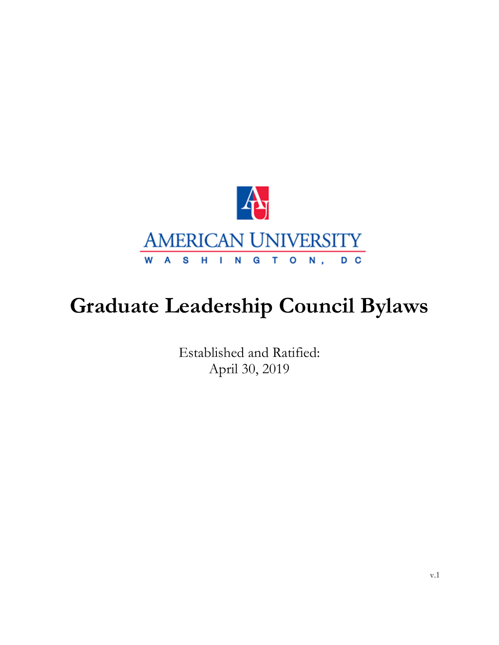

# **Graduate Leadership Council Bylaws**

Established and Ratified: April 30, 2019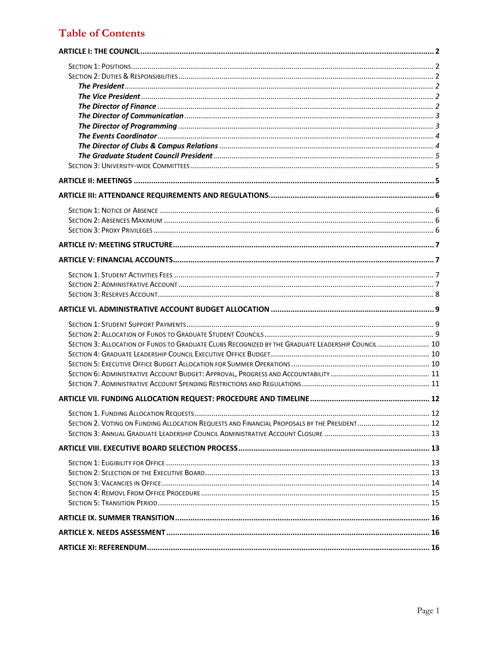# **Table of Contents**

| SECTION 3: ALLOCATION OF FUNDS TO GRADUATE CLUBS RECOGNIZED BY THE GRADUATE LEADERSHIP COUNCIL  10 |  |
|----------------------------------------------------------------------------------------------------|--|
|                                                                                                    |  |
|                                                                                                    |  |
|                                                                                                    |  |
|                                                                                                    |  |
|                                                                                                    |  |
|                                                                                                    |  |
|                                                                                                    |  |
| SECTION 2. VOTING ON FUNDING ALLOCATION REQUESTS AND FINANCIAL PROPOSALS BY THE PRESIDENT 12       |  |
|                                                                                                    |  |
|                                                                                                    |  |
|                                                                                                    |  |
|                                                                                                    |  |
|                                                                                                    |  |
|                                                                                                    |  |
|                                                                                                    |  |
|                                                                                                    |  |
|                                                                                                    |  |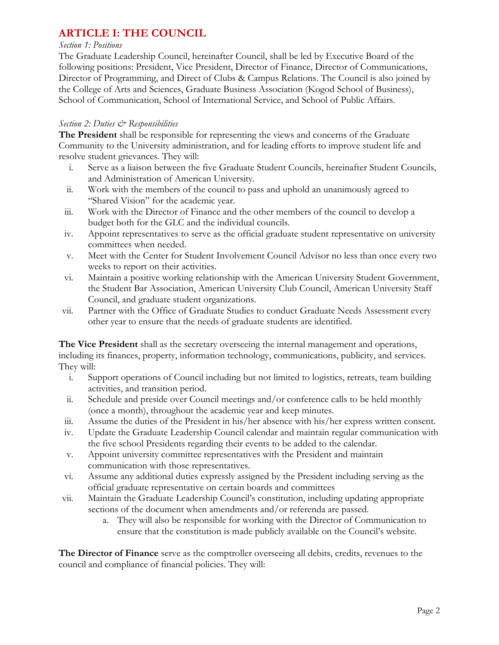# **ARTICLE I: THE COUNCIL**

#### *Section 1: Positions*

The Graduate Leadership Council, hereinafter Council, shall be led by Executive Board of the following positions: President, Vice President, Director of Finance, Director of Communications, Director of Programming, and Direct of Clubs & Campus Relations. The Council is also joined by the College of Arts and Sciences, Graduate Business Association (Kogod School of Business), School of Communication, School of International Service, and School of Public Affairs.

### *Section 2: Duties & Responsibilities*

**The President** shall be responsible for representing the views and concerns of the Graduate Community to the University administration, and for leading efforts to improve student life and resolve student grievances. They will:

- i. Serve as a liaison between the five Graduate Student Councils, hereinafter Student Councils, and Administration of American University.
- ii. Work with the members of the council to pass and uphold an unanimously agreed to "Shared Vision" for the academic year.
- iii. Work with the Director of Finance and the other members of the council to develop a budget both for the GLC and the individual councils.
- iv. Appoint representatives to serve as the official graduate student representative on university committees when needed.
- v. Meet with the Center for Student Involvement Council Advisor no less than once every two weeks to report on their activities.
- vi. Maintain a positive working relationship with the American University Student Government, the Student Bar Association, American University Club Council, American University Staff Council, and graduate student organizations.
- vii. Partner with the Office of Graduate Studies to conduct Graduate Needs Assessment every other year to ensure that the needs of graduate students are identified.

**The Vice President** shall as the secretary overseeing the internal management and operations, including its finances, property, information technology, communications, publicity, and services. They will:

- i. Support operations of Council including but not limited to logistics, retreats, team building activities, and transition period.
- ii. Schedule and preside over Council meetings and/or conference calls to be held monthly (once a month), throughout the academic year and keep minutes.
- iii. Assume the duties of the President in his/her absence with his/her express written consent.
- iv. Update the Graduate Leadership Council calendar and maintain regular communication with the five school Presidents regarding their events to be added to the calendar.
- v. Appoint university committee representatives with the President and maintain communication with those representatives.
- vi. Assume any additional duties expressly assigned by the President including serving as the official graduate representative on certain boards and committees
- vii. Maintain the Graduate Leadership Council's constitution, including updating appropriate sections of the document when amendments and/or referenda are passed.
	- a. They will also be responsible for working with the Director of Communication to ensure that the constitution is made publicly available on the Council's website.

**The Director of Finance** serve as the comptroller overseeing all debits, credits, revenues to the council and compliance of financial policies. They will: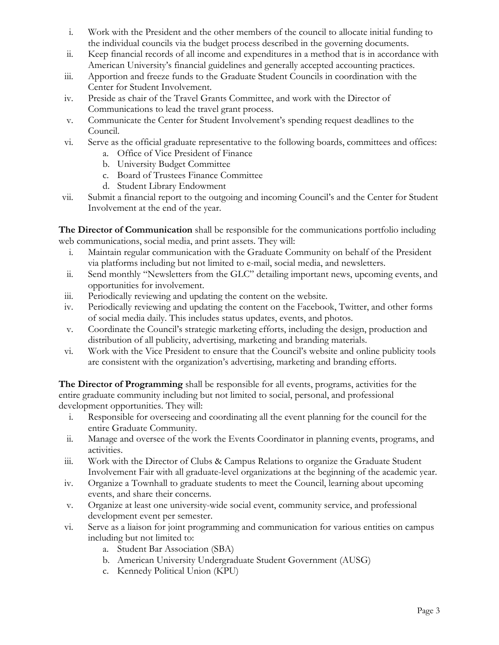- i. Work with the President and the other members of the council to allocate initial funding to the individual councils via the budget process described in the governing documents.
- ii. Keep financial records of all income and expenditures in a method that is in accordance with American University's financial guidelines and generally accepted accounting practices.
- iii. Apportion and freeze funds to the Graduate Student Councils in coordination with the Center for Student Involvement.
- iv. Preside as chair of the Travel Grants Committee, and work with the Director of Communications to lead the travel grant process.
- v. Communicate the Center for Student Involvement's spending request deadlines to the Council.
- vi. Serve as the official graduate representative to the following boards, committees and offices:
	- a. Office of Vice President of Finance
	- b. University Budget Committee
	- c. Board of Trustees Finance Committee
	- d. Student Library Endowment
- vii. Submit a financial report to the outgoing and incoming Council's and the Center for Student Involvement at the end of the year.

**The Director of Communication** shall be responsible for the communications portfolio including web communications, social media, and print assets. They will:

- i. Maintain regular communication with the Graduate Community on behalf of the President via platforms including but not limited to e-mail, social media, and newsletters.
- ii. Send monthly "Newsletters from the GLC" detailing important news, upcoming events, and opportunities for involvement.
- iii. Periodically reviewing and updating the content on the website.
- iv. Periodically reviewing and updating the content on the Facebook, Twitter, and other forms of social media daily. This includes status updates, events, and photos.
- v. Coordinate the Council's strategic marketing efforts, including the design, production and distribution of all publicity, advertising, marketing and branding materials.
- vi. Work with the Vice President to ensure that the Council's website and online publicity tools are consistent with the organization's advertising, marketing and branding efforts.

**The Director of Programming** shall be responsible for all events, programs, activities for the entire graduate community including but not limited to social, personal, and professional development opportunities. They will:

- i. Responsible for overseeing and coordinating all the event planning for the council for the entire Graduate Community.
- ii. Manage and oversee of the work the Events Coordinator in planning events, programs, and activities.
- iii. Work with the Director of Clubs & Campus Relations to organize the Graduate Student Involvement Fair with all graduate-level organizations at the beginning of the academic year.
- iv. Organize a Townhall to graduate students to meet the Council, learning about upcoming events, and share their concerns.
- v. Organize at least one university-wide social event, community service, and professional development event per semester.
- vi. Serve as a liaison for joint programming and communication for various entities on campus including but not limited to:
	- a. Student Bar Association (SBA)
	- b. American University Undergraduate Student Government (AUSG)
	- c. Kennedy Political Union (KPU)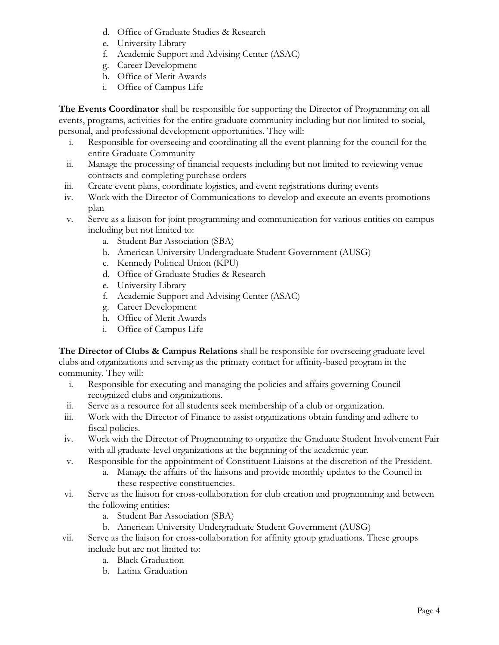- d. Office of Graduate Studies & Research
- e. University Library
- f. Academic Support and Advising Center (ASAC)
- g. Career Development
- h. Office of Merit Awards
- i. Office of Campus Life

**The Events Coordinator** shall be responsible for supporting the Director of Programming on all events, programs, activities for the entire graduate community including but not limited to social, personal, and professional development opportunities. They will:

- i. Responsible for overseeing and coordinating all the event planning for the council for the entire Graduate Community
- ii. Manage the processing of financial requests including but not limited to reviewing venue contracts and completing purchase orders
- iii. Create event plans, coordinate logistics, and event registrations during events
- iv. Work with the Director of Communications to develop and execute an events promotions plan
- v. Serve as a liaison for joint programming and communication for various entities on campus including but not limited to:
	- a. Student Bar Association (SBA)
	- b. American University Undergraduate Student Government (AUSG)
	- c. Kennedy Political Union (KPU)
	- d. Office of Graduate Studies & Research
	- e. University Library
	- f. Academic Support and Advising Center (ASAC)
	- g. Career Development
	- h. Office of Merit Awards
	- i. Office of Campus Life

**The Director of Clubs & Campus Relations** shall be responsible for overseeing graduate level clubs and organizations and serving as the primary contact for affinity-based program in the community. They will:

- i. Responsible for executing and managing the policies and affairs governing Council recognized clubs and organizations.
- ii. Serve as a resource for all students seek membership of a club or organization.
- iii. Work with the Director of Finance to assist organizations obtain funding and adhere to fiscal policies.
- iv. Work with the Director of Programming to organize the Graduate Student Involvement Fair with all graduate-level organizations at the beginning of the academic year.
- v. Responsible for the appointment of Constituent Liaisons at the discretion of the President.
	- a. Manage the affairs of the liaisons and provide monthly updates to the Council in these respective constituencies.
- vi. Serve as the liaison for cross-collaboration for club creation and programming and between the following entities:
	- a. Student Bar Association (SBA)
	- b. American University Undergraduate Student Government (AUSG)
- vii. Serve as the liaison for cross-collaboration for affinity group graduations. These groups
	- include but are not limited to:
		- a. Black Graduation
		- b. Latinx Graduation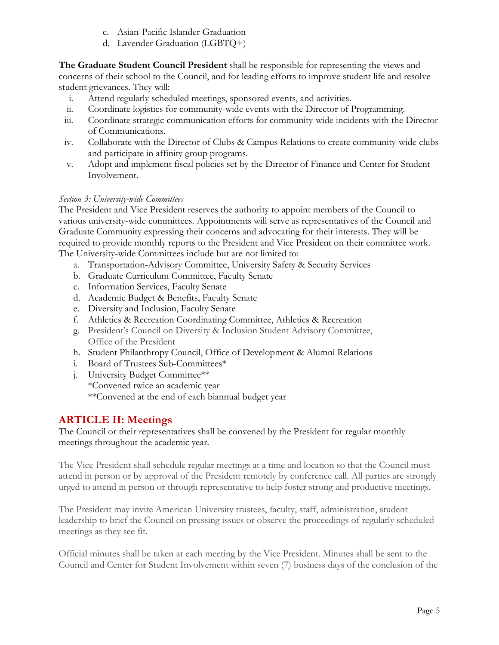- c. Asian-Pacific Islander Graduation
- d. Lavender Graduation (LGBTQ+)

**The Graduate Student Council President** shall be responsible for representing the views and concerns of their school to the Council, and for leading efforts to improve student life and resolve student grievances. They will:

- i. Attend regularly scheduled meetings, sponsored events, and activities.
- ii. Coordinate logistics for community-wide events with the Director of Programming.
- iii. Coordinate strategic communication efforts for community-wide incidents with the Director of Communications.
- iv. Collaborate with the Director of Clubs & Campus Relations to create community-wide clubs and participate in affinity group programs.
- v. Adopt and implement fiscal policies set by the Director of Finance and Center for Student Involvement.

## *Section 3: University-wide Committees*

The President and Vice President reserves the authority to appoint members of the Council to various university-wide committees. Appointments will serve as representatives of the Council and Graduate Community expressing their concerns and advocating for their interests. They will be required to provide monthly reports to the President and Vice President on their committee work. The University-wide Committees include but are not limited to:

- a. Transportation-Advisory Committee, University Safety & Security Services
- b. Graduate Curriculum Committee, Faculty Senate
- c. Information Services, Faculty Senate
- d. Academic Budget & Benefits, Faculty Senate
- e. Diversity and Inclusion, Faculty Senate
- f. Athletics & Recreation Coordinating Committee, Athletics & Recreation
- g. President's Council on Diversity & Inclusion Student Advisory Committee, Office of the President
- h. Student Philanthropy Council, Office of Development & Alumni Relations
- i. Board of Trustees Sub-Committees\*
- j. University Budget Committee\*\* \*Convened twice an academic year \*\*Convened at the end of each biannual budget year

## **ARTICLE II: Meetings**

The Council or their representatives shall be convened by the President for regular monthly meetings throughout the academic year.

The Vice President shall schedule regular meetings at a time and location so that the Council must attend in person or by approval of the President remotely by conference call. All parties are strongly urged to attend in person or through representative to help foster strong and productive meetings.

The President may invite American University trustees, faculty, staff, administration, student leadership to brief the Council on pressing issues or observe the proceedings of regularly scheduled meetings as they see fit.

Official minutes shall be taken at each meeting by the Vice President. Minutes shall be sent to the Council and Center for Student Involvement within seven (7) business days of the conclusion of the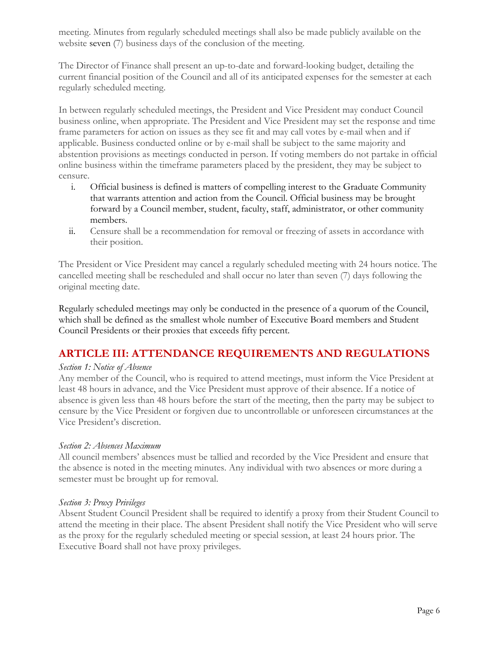meeting. Minutes from regularly scheduled meetings shall also be made publicly available on the website seven (7) business days of the conclusion of the meeting.

The Director of Finance shall present an up-to-date and forward-looking budget, detailing the current financial position of the Council and all of its anticipated expenses for the semester at each regularly scheduled meeting.

In between regularly scheduled meetings, the President and Vice President may conduct Council business online, when appropriate. The President and Vice President may set the response and time frame parameters for action on issues as they see fit and may call votes by e-mail when and if applicable. Business conducted online or by e-mail shall be subject to the same majority and abstention provisions as meetings conducted in person. If voting members do not partake in official online business within the timeframe parameters placed by the president, they may be subject to censure.

- i. Official business is defined is matters of compelling interest to the Graduate Community that warrants attention and action from the Council. Official business may be brought forward by a Council member, student, faculty, staff, administrator, or other community members.
- ii. Censure shall be a recommendation for removal or freezing of assets in accordance with their position.

The President or Vice President may cancel a regularly scheduled meeting with 24 hours notice. The cancelled meeting shall be rescheduled and shall occur no later than seven (7) days following the original meeting date.

Regularly scheduled meetings may only be conducted in the presence of a quorum of the Council, which shall be defined as the smallest whole number of Executive Board members and Student Council Presidents or their proxies that exceeds fifty percent.

## **ARTICLE III: ATTENDANCE REQUIREMENTS AND REGULATIONS**

#### *Section 1: Notice of Absence*

Any member of the Council, who is required to attend meetings, must inform the Vice President at least 48 hours in advance, and the Vice President must approve of their absence. If a notice of absence is given less than 48 hours before the start of the meeting, then the party may be subject to censure by the Vice President or forgiven due to uncontrollable or unforeseen circumstances at the Vice President's discretion.

#### *Section 2: Absences Maximum*

All council members' absences must be tallied and recorded by the Vice President and ensure that the absence is noted in the meeting minutes. Any individual with two absences or more during a semester must be brought up for removal.

#### *Section 3: Proxy Privileges*

Absent Student Council President shall be required to identify a proxy from their Student Council to attend the meeting in their place. The absent President shall notify the Vice President who will serve as the proxy for the regularly scheduled meeting or special session, at least 24 hours prior. The Executive Board shall not have proxy privileges.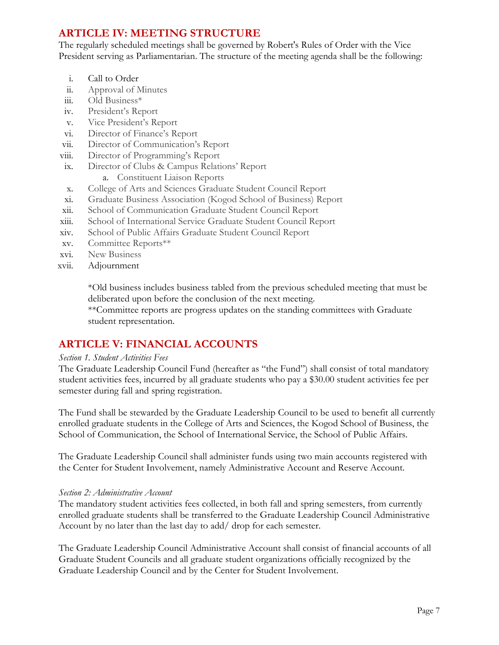# **ARTICLE IV: MEETING STRUCTURE**

The regularly scheduled meetings shall be governed by Robert's Rules of Order with the Vice President serving as Parliamentarian. The structure of the meeting agenda shall be the following:

- i. Call to Order
- ii. Approval of Minutes
- iii. Old Business\*
- iv. President's Report
- v. Vice President's Report
- vi. Director of Finance's Report
- vii. Director of Communication's Report
- viii. Director of Programming's Report
- ix. Director of Clubs & Campus Relations' Report
	- a. Constituent Liaison Reports
- x. College of Arts and Sciences Graduate Student Council Report
- xi. Graduate Business Association (Kogod School of Business) Report
- xii. School of Communication Graduate Student Council Report
- xiii. School of International Service Graduate Student Council Report
- xiv. School of Public Affairs Graduate Student Council Report
- xv. Committee Reports\*\*
- xvi. New Business
- xvii. Adjournment

\*Old business includes business tabled from the previous scheduled meeting that must be deliberated upon before the conclusion of the next meeting.

\*\*Committee reports are progress updates on the standing committees with Graduate student representation.

# **ARTICLE V: FINANCIAL ACCOUNTS**

#### *Section 1. Student Activities Fees*

The Graduate Leadership Council Fund (hereafter as "the Fund") shall consist of total mandatory student activities fees, incurred by all graduate students who pay a \$30.00 student activities fee per semester during fall and spring registration.

The Fund shall be stewarded by the Graduate Leadership Council to be used to benefit all currently enrolled graduate students in the College of Arts and Sciences, the Kogod School of Business, the School of Communication, the School of International Service, the School of Public Affairs.

The Graduate Leadership Council shall administer funds using two main accounts registered with the Center for Student Involvement, namely Administrative Account and Reserve Account.

#### *Section 2: Administrative Account*

The mandatory student activities fees collected, in both fall and spring semesters, from currently enrolled graduate students shall be transferred to the Graduate Leadership Council Administrative Account by no later than the last day to add/ drop for each semester.

The Graduate Leadership Council Administrative Account shall consist of financial accounts of all Graduate Student Councils and all graduate student organizations officially recognized by the Graduate Leadership Council and by the Center for Student Involvement.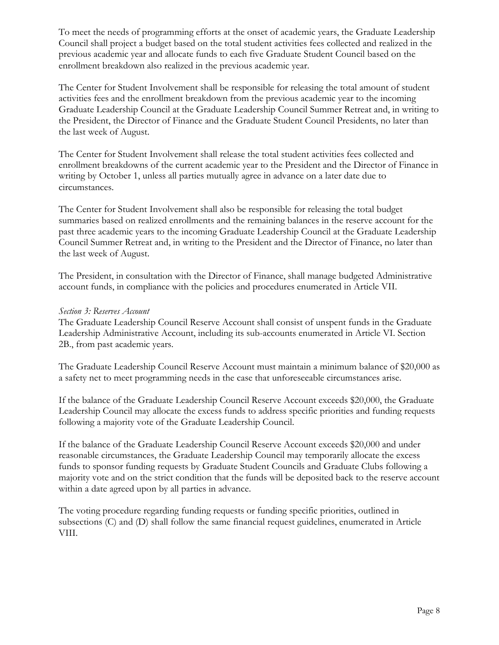To meet the needs of programming efforts at the onset of academic years, the Graduate Leadership Council shall project a budget based on the total student activities fees collected and realized in the previous academic year and allocate funds to each five Graduate Student Council based on the enrollment breakdown also realized in the previous academic year.

The Center for Student Involvement shall be responsible for releasing the total amount of student activities fees and the enrollment breakdown from the previous academic year to the incoming Graduate Leadership Council at the Graduate Leadership Council Summer Retreat and, in writing to the President, the Director of Finance and the Graduate Student Council Presidents, no later than the last week of August.

The Center for Student Involvement shall release the total student activities fees collected and enrollment breakdowns of the current academic year to the President and the Director of Finance in writing by October 1, unless all parties mutually agree in advance on a later date due to circumstances.

The Center for Student Involvement shall also be responsible for releasing the total budget summaries based on realized enrollments and the remaining balances in the reserve account for the past three academic years to the incoming Graduate Leadership Council at the Graduate Leadership Council Summer Retreat and, in writing to the President and the Director of Finance, no later than the last week of August.

The President, in consultation with the Director of Finance, shall manage budgeted Administrative account funds, in compliance with the policies and procedures enumerated in Article VII.

#### *Section 3: Reserves Account*

The Graduate Leadership Council Reserve Account shall consist of unspent funds in the Graduate Leadership Administrative Account, including its sub-accounts enumerated in Article VI. Section 2B., from past academic years.

The Graduate Leadership Council Reserve Account must maintain a minimum balance of \$20,000 as a safety net to meet programming needs in the case that unforeseeable circumstances arise.

If the balance of the Graduate Leadership Council Reserve Account exceeds \$20,000, the Graduate Leadership Council may allocate the excess funds to address specific priorities and funding requests following a majority vote of the Graduate Leadership Council.

If the balance of the Graduate Leadership Council Reserve Account exceeds \$20,000 and under reasonable circumstances, the Graduate Leadership Council may temporarily allocate the excess funds to sponsor funding requests by Graduate Student Councils and Graduate Clubs following a majority vote and on the strict condition that the funds will be deposited back to the reserve account within a date agreed upon by all parties in advance.

The voting procedure regarding funding requests or funding specific priorities, outlined in subsections (C) and (D) shall follow the same financial request guidelines, enumerated in Article VIII.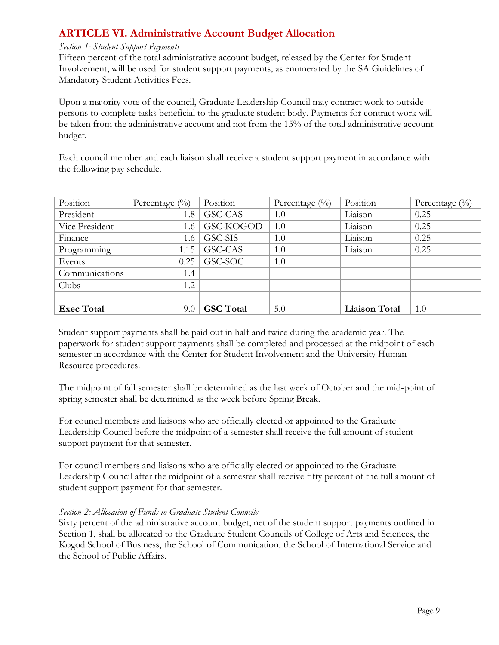# **ARTICLE VI. Administrative Account Budget Allocation**

#### *Section 1: Student Support Payments*

Fifteen percent of the total administrative account budget, released by the Center for Student Involvement, will be used for student support payments, as enumerated by the SA Guidelines of Mandatory Student Activities Fees.

Upon a majority vote of the council, Graduate Leadership Council may contract work to outside persons to complete tasks beneficial to the graduate student body. Payments for contract work will be taken from the administrative account and not from the 15% of the total administrative account budget.

Each council member and each liaison shall receive a student support payment in accordance with the following pay schedule.

| Position          | Percentage $(\%)$ | Position         | Percentage $(\%)$ | Position             | Percentage $(\%)$ |
|-------------------|-------------------|------------------|-------------------|----------------------|-------------------|
| President         | 1.8               | GSC-CAS          | 1.0               | Liaison              | 0.25              |
| Vice President    | 1.6               | GSC-KOGOD        | 1.0               | Liaison              | 0.25              |
| Finance           | 1.6               | GSC-SIS          | 1.0               | Liaison              | 0.25              |
| Programming       | 1.15              | GSC-CAS          | 1.0               | Liaison              | 0.25              |
| Events            | 0.25              | GSC-SOC          | 1.0               |                      |                   |
| Communications    | 1.4               |                  |                   |                      |                   |
| Clubs             | 1.2               |                  |                   |                      |                   |
|                   |                   |                  |                   |                      |                   |
| <b>Exec Total</b> | 9.0               | <b>GSC</b> Total | 5.0               | <b>Liaison Total</b> | 1.0               |

Student support payments shall be paid out in half and twice during the academic year. The paperwork for student support payments shall be completed and processed at the midpoint of each semester in accordance with the Center for Student Involvement and the University Human Resource procedures.

The midpoint of fall semester shall be determined as the last week of October and the mid-point of spring semester shall be determined as the week before Spring Break.

For council members and liaisons who are officially elected or appointed to the Graduate Leadership Council before the midpoint of a semester shall receive the full amount of student support payment for that semester.

For council members and liaisons who are officially elected or appointed to the Graduate Leadership Council after the midpoint of a semester shall receive fifty percent of the full amount of student support payment for that semester.

#### *Section 2: Allocation of Funds to Graduate Student Councils*

Sixty percent of the administrative account budget, net of the student support payments outlined in Section 1, shall be allocated to the Graduate Student Councils of College of Arts and Sciences, the Kogod School of Business, the School of Communication, the School of International Service and the School of Public Affairs.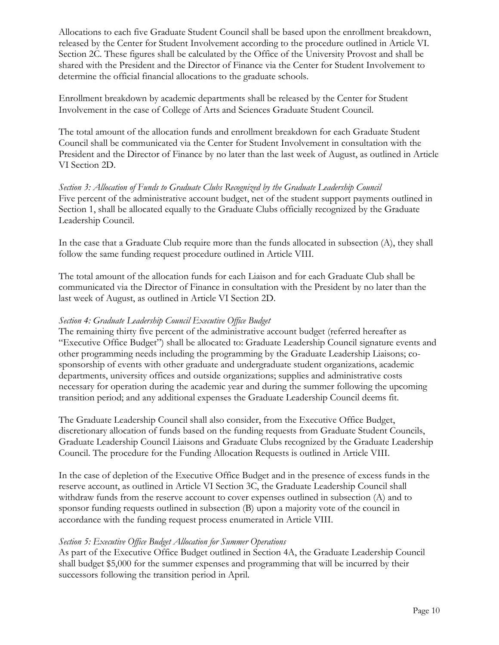Allocations to each five Graduate Student Council shall be based upon the enrollment breakdown, released by the Center for Student Involvement according to the procedure outlined in Article VI. Section 2C. These figures shall be calculated by the Office of the University Provost and shall be shared with the President and the Director of Finance via the Center for Student Involvement to determine the official financial allocations to the graduate schools.

Enrollment breakdown by academic departments shall be released by the Center for Student Involvement in the case of College of Arts and Sciences Graduate Student Council.

The total amount of the allocation funds and enrollment breakdown for each Graduate Student Council shall be communicated via the Center for Student Involvement in consultation with the President and the Director of Finance by no later than the last week of August, as outlined in Article VI Section 2D.

*Section 3: Allocation of Funds to Graduate Clubs Recognized by the Graduate Leadership Council* Five percent of the administrative account budget, net of the student support payments outlined in Section 1, shall be allocated equally to the Graduate Clubs officially recognized by the Graduate Leadership Council.

In the case that a Graduate Club require more than the funds allocated in subsection (A), they shall follow the same funding request procedure outlined in Article VIII.

The total amount of the allocation funds for each Liaison and for each Graduate Club shall be communicated via the Director of Finance in consultation with the President by no later than the last week of August, as outlined in Article VI Section 2D.

#### *Section 4: Graduate Leadership Council Executive Office Budget*

The remaining thirty five percent of the administrative account budget (referred hereafter as "Executive Office Budget") shall be allocated to: Graduate Leadership Council signature events and other programming needs including the programming by the Graduate Leadership Liaisons; cosponsorship of events with other graduate and undergraduate student organizations, academic departments, university offices and outside organizations; supplies and administrative costs necessary for operation during the academic year and during the summer following the upcoming transition period; and any additional expenses the Graduate Leadership Council deems fit.

The Graduate Leadership Council shall also consider, from the Executive Office Budget, discretionary allocation of funds based on the funding requests from Graduate Student Councils, Graduate Leadership Council Liaisons and Graduate Clubs recognized by the Graduate Leadership Council. The procedure for the Funding Allocation Requests is outlined in Article VIII.

In the case of depletion of the Executive Office Budget and in the presence of excess funds in the reserve account, as outlined in Article VI Section 3C, the Graduate Leadership Council shall withdraw funds from the reserve account to cover expenses outlined in subsection (A) and to sponsor funding requests outlined in subsection (B) upon a majority vote of the council in accordance with the funding request process enumerated in Article VIII.

#### *Section 5: Executive Office Budget Allocation for Summer Operations*

As part of the Executive Office Budget outlined in Section 4A, the Graduate Leadership Council shall budget \$5,000 for the summer expenses and programming that will be incurred by their successors following the transition period in April.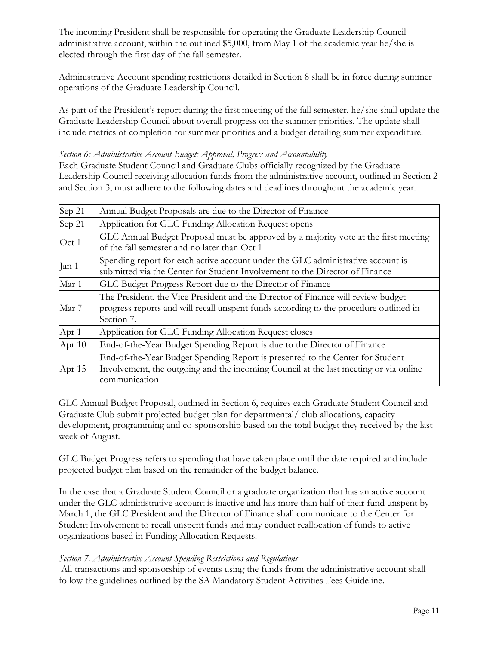The incoming President shall be responsible for operating the Graduate Leadership Council administrative account, within the outlined \$5,000, from May 1 of the academic year he/she is elected through the first day of the fall semester.

Administrative Account spending restrictions detailed in Section 8 shall be in force during summer operations of the Graduate Leadership Council.

As part of the President's report during the first meeting of the fall semester, he/she shall update the Graduate Leadership Council about overall progress on the summer priorities. The update shall include metrics of completion for summer priorities and a budget detailing summer expenditure.

#### *Section 6: Administrative Account Budget: Approval, Progress and Accountability*

Each Graduate Student Council and Graduate Clubs officially recognized by the Graduate Leadership Council receiving allocation funds from the administrative account, outlined in Section 2 and Section 3, must adhere to the following dates and deadlines throughout the academic year.

| Sep 21   | Annual Budget Proposals are due to the Director of Finance                                                                                                                              |  |  |  |  |
|----------|-----------------------------------------------------------------------------------------------------------------------------------------------------------------------------------------|--|--|--|--|
| Sep 21   | Application for GLC Funding Allocation Request opens                                                                                                                                    |  |  |  |  |
| Oct 1    | GLC Annual Budget Proposal must be approved by a majority vote at the first meeting<br>of the fall semester and no later than Oct 1                                                     |  |  |  |  |
| Jan 1    | Spending report for each active account under the GLC administrative account is<br>submitted via the Center for Student Involvement to the Director of Finance                          |  |  |  |  |
| Mar 1    | GLC Budget Progress Report due to the Director of Finance                                                                                                                               |  |  |  |  |
| Mar 7    | The President, the Vice President and the Director of Finance will review budget<br>progress reports and will recall unspent funds according to the procedure outlined in<br>Section 7. |  |  |  |  |
| Apr 1    | Application for GLC Funding Allocation Request closes                                                                                                                                   |  |  |  |  |
| Apr $10$ | End-of-the-Year Budget Spending Report is due to the Director of Finance                                                                                                                |  |  |  |  |
| Apr $15$ | End-of-the-Year Budget Spending Report is presented to the Center for Student<br>Involvement, the outgoing and the incoming Council at the last meeting or via online<br>communication  |  |  |  |  |

GLC Annual Budget Proposal, outlined in Section 6, requires each Graduate Student Council and Graduate Club submit projected budget plan for departmental/ club allocations, capacity development, programming and co-sponsorship based on the total budget they received by the last week of August.

GLC Budget Progress refers to spending that have taken place until the date required and include projected budget plan based on the remainder of the budget balance.

In the case that a Graduate Student Council or a graduate organization that has an active account under the GLC administrative account is inactive and has more than half of their fund unspent by March 1, the GLC President and the Director of Finance shall communicate to the Center for Student Involvement to recall unspent funds and may conduct reallocation of funds to active organizations based in Funding Allocation Requests.

#### *Section 7. Administrative Account Spending Restrictions and Regulations*

All transactions and sponsorship of events using the funds from the administrative account shall follow the guidelines outlined by the SA Mandatory Student Activities Fees Guideline.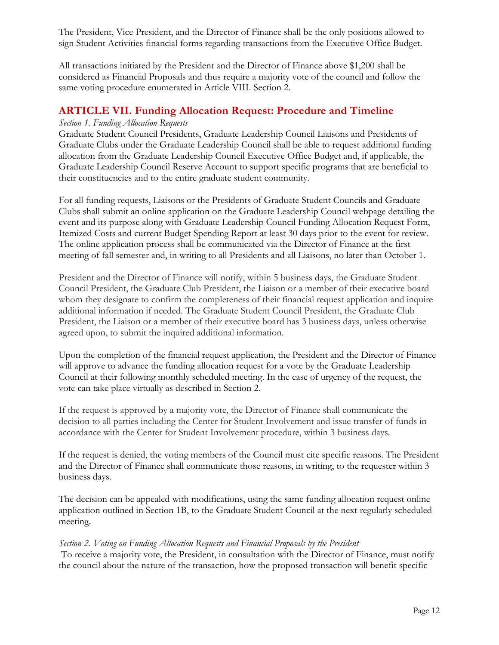The President, Vice President, and the Director of Finance shall be the only positions allowed to sign Student Activities financial forms regarding transactions from the Executive Office Budget.

All transactions initiated by the President and the Director of Finance above \$1,200 shall be considered as Financial Proposals and thus require a majority vote of the council and follow the same voting procedure enumerated in Article VIII. Section 2.

## **ARTICLE VII. Funding Allocation Request: Procedure and Timeline**

#### *Section 1. Funding Allocation Requests*

Graduate Student Council Presidents, Graduate Leadership Council Liaisons and Presidents of Graduate Clubs under the Graduate Leadership Council shall be able to request additional funding allocation from the Graduate Leadership Council Executive Office Budget and, if applicable, the Graduate Leadership Council Reserve Account to support specific programs that are beneficial to their constituencies and to the entire graduate student community.

For all funding requests, Liaisons or the Presidents of Graduate Student Councils and Graduate Clubs shall submit an online application on the Graduate Leadership Council webpage detailing the event and its purpose along with Graduate Leadership Council Funding Allocation Request Form, Itemized Costs and current Budget Spending Report at least 30 days prior to the event for review. The online application process shall be communicated via the Director of Finance at the first meeting of fall semester and, in writing to all Presidents and all Liaisons, no later than October 1.

President and the Director of Finance will notify, within 5 business days, the Graduate Student Council President, the Graduate Club President, the Liaison or a member of their executive board whom they designate to confirm the completeness of their financial request application and inquire additional information if needed. The Graduate Student Council President, the Graduate Club President, the Liaison or a member of their executive board has 3 business days, unless otherwise agreed upon, to submit the inquired additional information.

Upon the completion of the financial request application, the President and the Director of Finance will approve to advance the funding allocation request for a vote by the Graduate Leadership Council at their following monthly scheduled meeting. In the case of urgency of the request, the vote can take place virtually as described in Section 2.

If the request is approved by a majority vote, the Director of Finance shall communicate the decision to all parties including the Center for Student Involvement and issue transfer of funds in accordance with the Center for Student Involvement procedure, within 3 business days.

If the request is denied, the voting members of the Council must cite specific reasons. The President and the Director of Finance shall communicate those reasons, in writing, to the requester within 3 business days.

The decision can be appealed with modifications, using the same funding allocation request online application outlined in Section 1B, to the Graduate Student Council at the next regularly scheduled meeting.

#### *Section 2. Voting on Funding Allocation Requests and Financial Proposals by the President*

To receive a majority vote, the President, in consultation with the Director of Finance, must notify the council about the nature of the transaction, how the proposed transaction will benefit specific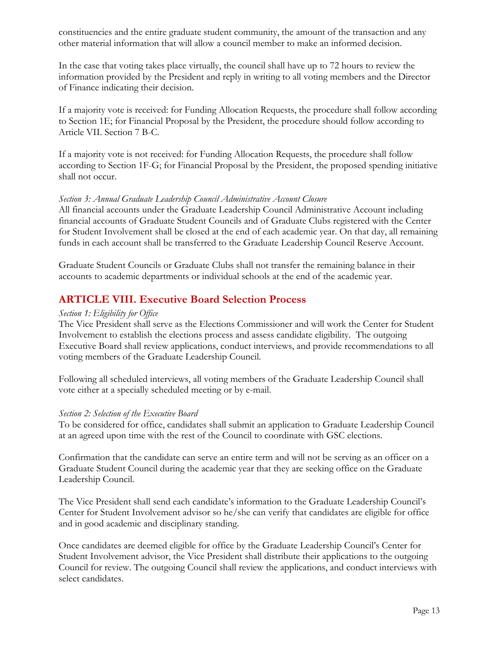constituencies and the entire graduate student community, the amount of the transaction and any other material information that will allow a council member to make an informed decision.

In the case that voting takes place virtually, the council shall have up to 72 hours to review the information provided by the President and reply in writing to all voting members and the Director of Finance indicating their decision.

If a majority vote is received: for Funding Allocation Requests, the procedure shall follow according to Section 1E; for Financial Proposal by the President, the procedure should follow according to Article VII. Section 7 B-C.

If a majority vote is not received: for Funding Allocation Requests, the procedure shall follow according to Section 1F-G; for Financial Proposal by the President, the proposed spending initiative shall not occur.

#### *Section 3: Annual Graduate Leadership Council Administrative Account Closure*

All financial accounts under the Graduate Leadership Council Administrative Account including financial accounts of Graduate Student Councils and of Graduate Clubs registered with the Center for Student Involvement shall be closed at the end of each academic year. On that day, all remaining funds in each account shall be transferred to the Graduate Leadership Council Reserve Account.

Graduate Student Councils or Graduate Clubs shall not transfer the remaining balance in their accounts to academic departments or individual schools at the end of the academic year.

## **ARTICLE VIII. Executive Board Selection Process**

#### *Section 1: Eligibility for Office*

The Vice President shall serve as the Elections Commissioner and will work the Center for Student Involvement to establish the elections process and assess candidate eligibility. The outgoing Executive Board shall review applications, conduct interviews, and provide recommendations to all voting members of the Graduate Leadership Council.

Following all scheduled interviews, all voting members of the Graduate Leadership Council shall vote either at a specially scheduled meeting or by e-mail.

#### *Section 2: Selection of the Executive Board*

To be considered for office, candidates shall submit an application to Graduate Leadership Council at an agreed upon time with the rest of the Council to coordinate with GSC elections.

Confirmation that the candidate can serve an entire term and will not be serving as an officer on a Graduate Student Council during the academic year that they are seeking office on the Graduate Leadership Council.

The Vice President shall send each candidate's information to the Graduate Leadership Council's Center for Student Involvement advisor so he/she can verify that candidates are eligible for office and in good academic and disciplinary standing.

Once candidates are deemed eligible for office by the Graduate Leadership Council's Center for Student Involvement advisor, the Vice President shall distribute their applications to the outgoing Council for review. The outgoing Council shall review the applications, and conduct interviews with select candidates.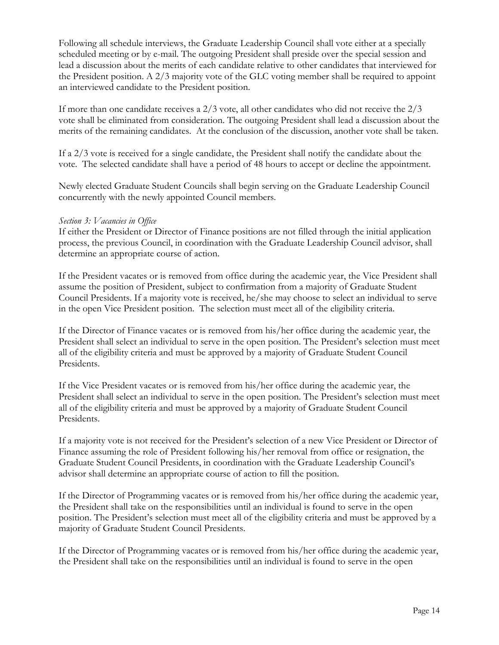Following all schedule interviews, the Graduate Leadership Council shall vote either at a specially scheduled meeting or by e-mail. The outgoing President shall preside over the special session and lead a discussion about the merits of each candidate relative to other candidates that interviewed for the President position. A 2/3 majority vote of the GLC voting member shall be required to appoint an interviewed candidate to the President position.

If more than one candidate receives a 2/3 vote, all other candidates who did not receive the 2/3 vote shall be eliminated from consideration. The outgoing President shall lead a discussion about the merits of the remaining candidates. At the conclusion of the discussion, another vote shall be taken.

If a 2/3 vote is received for a single candidate, the President shall notify the candidate about the vote. The selected candidate shall have a period of 48 hours to accept or decline the appointment.

Newly elected Graduate Student Councils shall begin serving on the Graduate Leadership Council concurrently with the newly appointed Council members.

#### *Section 3: Vacancies in Office*

If either the President or Director of Finance positions are not filled through the initial application process, the previous Council, in coordination with the Graduate Leadership Council advisor, shall determine an appropriate course of action.

If the President vacates or is removed from office during the academic year, the Vice President shall assume the position of President, subject to confirmation from a majority of Graduate Student Council Presidents. If a majority vote is received, he/she may choose to select an individual to serve in the open Vice President position. The selection must meet all of the eligibility criteria.

If the Director of Finance vacates or is removed from his/her office during the academic year, the President shall select an individual to serve in the open position. The President's selection must meet all of the eligibility criteria and must be approved by a majority of Graduate Student Council Presidents.

If the Vice President vacates or is removed from his/her office during the academic year, the President shall select an individual to serve in the open position. The President's selection must meet all of the eligibility criteria and must be approved by a majority of Graduate Student Council Presidents.

If a majority vote is not received for the President's selection of a new Vice President or Director of Finance assuming the role of President following his/her removal from office or resignation, the Graduate Student Council Presidents, in coordination with the Graduate Leadership Council's advisor shall determine an appropriate course of action to fill the position.

If the Director of Programming vacates or is removed from his/her office during the academic year, the President shall take on the responsibilities until an individual is found to serve in the open position. The President's selection must meet all of the eligibility criteria and must be approved by a majority of Graduate Student Council Presidents.

If the Director of Programming vacates or is removed from his/her office during the academic year, the President shall take on the responsibilities until an individual is found to serve in the open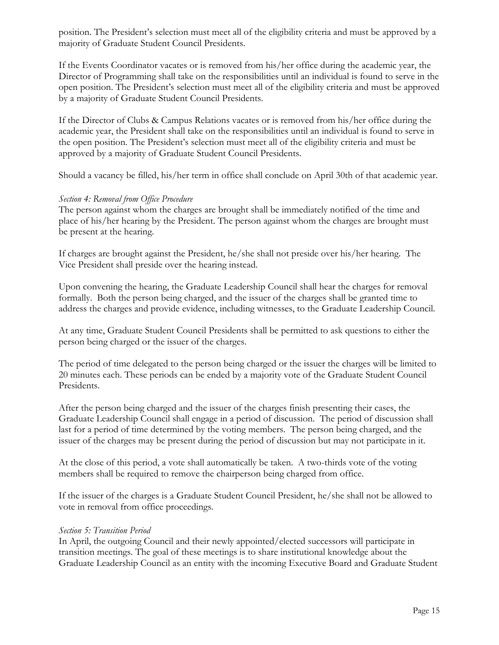position. The President's selection must meet all of the eligibility criteria and must be approved by a majority of Graduate Student Council Presidents.

If the Events Coordinator vacates or is removed from his/her office during the academic year, the Director of Programming shall take on the responsibilities until an individual is found to serve in the open position. The President's selection must meet all of the eligibility criteria and must be approved by a majority of Graduate Student Council Presidents.

If the Director of Clubs & Campus Relations vacates or is removed from his/her office during the academic year, the President shall take on the responsibilities until an individual is found to serve in the open position. The President's selection must meet all of the eligibility criteria and must be approved by a majority of Graduate Student Council Presidents.

Should a vacancy be filled, his/her term in office shall conclude on April 30th of that academic year.

#### *Section 4: Removal from Office Procedure*

The person against whom the charges are brought shall be immediately notified of the time and place of his/her hearing by the President. The person against whom the charges are brought must be present at the hearing.

If charges are brought against the President, he/she shall not preside over his/her hearing. The Vice President shall preside over the hearing instead.

Upon convening the hearing, the Graduate Leadership Council shall hear the charges for removal formally. Both the person being charged, and the issuer of the charges shall be granted time to address the charges and provide evidence, including witnesses, to the Graduate Leadership Council.

At any time, Graduate Student Council Presidents shall be permitted to ask questions to either the person being charged or the issuer of the charges.

The period of time delegated to the person being charged or the issuer the charges will be limited to 20 minutes each. These periods can be ended by a majority vote of the Graduate Student Council Presidents.

After the person being charged and the issuer of the charges finish presenting their cases, the Graduate Leadership Council shall engage in a period of discussion. The period of discussion shall last for a period of time determined by the voting members. The person being charged, and the issuer of the charges may be present during the period of discussion but may not participate in it.

At the close of this period, a vote shall automatically be taken. A two-thirds vote of the voting members shall be required to remove the chairperson being charged from office.

If the issuer of the charges is a Graduate Student Council President, he/she shall not be allowed to vote in removal from office proceedings.

#### *Section 5: Transition Period*

In April, the outgoing Council and their newly appointed/elected successors will participate in transition meetings. The goal of these meetings is to share institutional knowledge about the Graduate Leadership Council as an entity with the incoming Executive Board and Graduate Student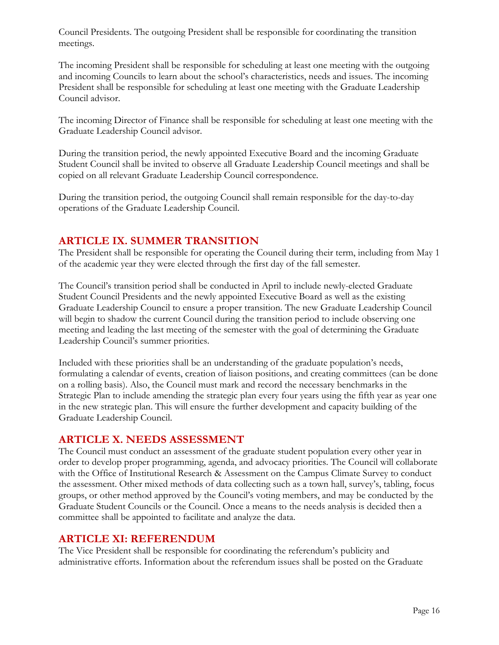Council Presidents. The outgoing President shall be responsible for coordinating the transition meetings.

The incoming President shall be responsible for scheduling at least one meeting with the outgoing and incoming Councils to learn about the school's characteristics, needs and issues. The incoming President shall be responsible for scheduling at least one meeting with the Graduate Leadership Council advisor.

The incoming Director of Finance shall be responsible for scheduling at least one meeting with the Graduate Leadership Council advisor.

During the transition period, the newly appointed Executive Board and the incoming Graduate Student Council shall be invited to observe all Graduate Leadership Council meetings and shall be copied on all relevant Graduate Leadership Council correspondence.

During the transition period, the outgoing Council shall remain responsible for the day-to-day operations of the Graduate Leadership Council.

## **ARTICLE IX. SUMMER TRANSITION**

The President shall be responsible for operating the Council during their term, including from May 1 of the academic year they were elected through the first day of the fall semester.

The Council's transition period shall be conducted in April to include newly-elected Graduate Student Council Presidents and the newly appointed Executive Board as well as the existing Graduate Leadership Council to ensure a proper transition. The new Graduate Leadership Council will begin to shadow the current Council during the transition period to include observing one meeting and leading the last meeting of the semester with the goal of determining the Graduate Leadership Council's summer priorities.

Included with these priorities shall be an understanding of the graduate population's needs, formulating a calendar of events, creation of liaison positions, and creating committees (can be done on a rolling basis). Also, the Council must mark and record the necessary benchmarks in the Strategic Plan to include amending the strategic plan every four years using the fifth year as year one in the new strategic plan. This will ensure the further development and capacity building of the Graduate Leadership Council.

## **ARTICLE X. NEEDS ASSESSMENT**

The Council must conduct an assessment of the graduate student population every other year in order to develop proper programming, agenda, and advocacy priorities. The Council will collaborate with the Office of Institutional Research & Assessment on the Campus Climate Survey to conduct the assessment. Other mixed methods of data collecting such as a town hall, survey's, tabling, focus groups, or other method approved by the Council's voting members, and may be conducted by the Graduate Student Councils or the Council. Once a means to the needs analysis is decided then a committee shall be appointed to facilitate and analyze the data.

## **ARTICLE XI: REFERENDUM**

The Vice President shall be responsible for coordinating the referendum's publicity and administrative efforts. Information about the referendum issues shall be posted on the Graduate